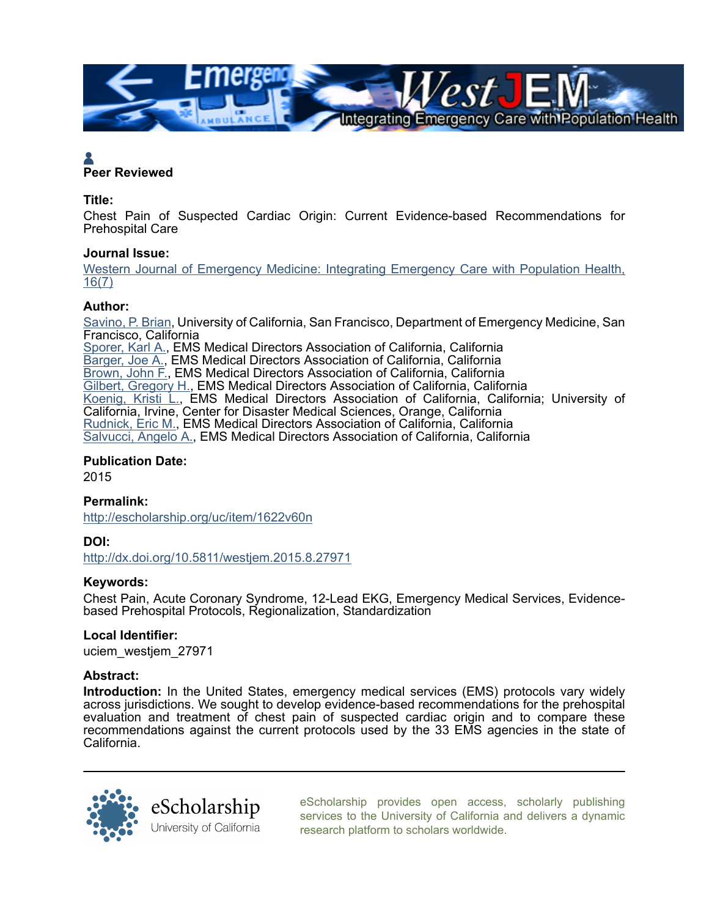

# Peer Reviewed

Title:

Chest Pain of Suspected Cardiac Origin: Current Evidence-based Recommendations for Prehospital Care

#### Journal Issue:

[Western Journal of Emergency Medicine: Integrating Emergency Care with Population Health,](http://escholarship.org/uc/uciem_westjem?volume=16;issue=7) [16\(7\)](http://escholarship.org/uc/uciem_westjem?volume=16;issue=7)

#### Author:

[Savino, P. Brian,](http://escholarship.org/uc/search?creator=Savino%2C%20P.%20Brian) University of California, San Francisco, Department of Emergency Medicine, San Francisco, California [Sporer, Karl A.](http://escholarship.org/uc/search?creator=Sporer%2C%20Karl%20A.), EMS Medical Directors Association of California, California [Barger, Joe A.,](http://escholarship.org/uc/search?creator=Barger%2C%20Joe%20A.) EMS Medical Directors Association of California, California [Brown, John F.,](http://escholarship.org/uc/search?creator=Brown%2C%20John%20F.) EMS Medical Directors Association of California. California [Gilbert, Gregory H.](http://escholarship.org/uc/search?creator=Gilbert%2C%20Gregory%20H.), EMS Medical Directors Association of California, California [Koenig, Kristi L.,](http://escholarship.org/uc/search?creator=Koenig%2C%20Kristi%20L.) EMS Medical Directors Association of California, California; University of California, Irvine, Center for Disaster Medical Sciences, Orange, California [Rudnick, Eric M.](http://escholarship.org/uc/search?creator=Rudnick%2C%20Eric%20M.), EMS Medical Directors Association of California, California [Salvucci, Angelo A.,](http://escholarship.org/uc/search?creator=Salvucci%2C%20Angelo%20A.) EMS Medical Directors Association of California, California

#### Publication Date:

2015

#### Permalink:

<http://escholarship.org/uc/item/1622v60n>

#### DOI:

<http://dx.doi.org/10.5811/westjem.2015.8.27971>

#### Keywords:

Chest Pain, Acute Coronary Syndrome, 12-Lead EKG, Emergency Medical Services, Evidencebased Prehospital Protocols, Regionalization, Standardization

#### Local Identifier:

uciem\_westjem\_27971

#### Abstract:

Introduction: In the United States, emergency medical services (EMS) protocols vary widely across jurisdictions. We sought to develop evidence-based recommendations for the prehospital evaluation and treatment of chest pain of suspected cardiac origin and to compare these recommendations against the current protocols used by the 33 EMS agencies in the state of California.



[eScholarship provides open access, scholarly publishing](http://escholarship.org) [services to the University of California and delivers a dynamic](http://escholarship.org) [research platform to scholars worldwide.](http://escholarship.org)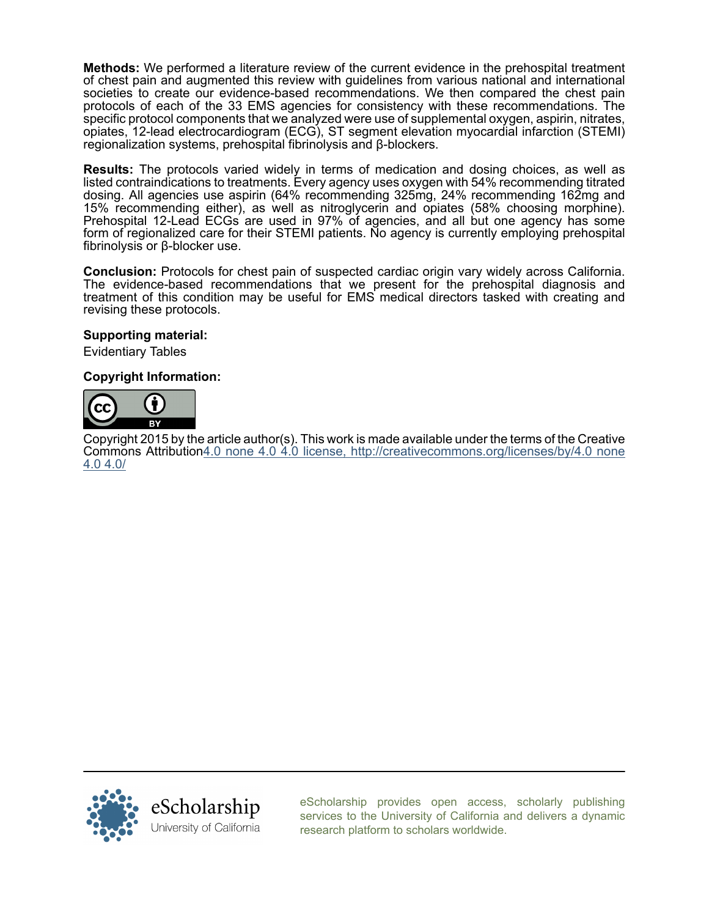Methods: We performed a literature review of the current evidence in the prehospital treatment of chest pain and augmented this review with guidelines from various national and international societies to create our evidence-based recommendations. We then compared the chest pain protocols of each of the 33 EMS agencies for consistency with these recommendations. The specific protocol components that we analyzed were use of supplemental oxygen, aspirin, nitrates, opiates, 12-lead electrocardiogram (ECG), ST segment elevation myocardial infarction (STEMI) regionalization systems, prehospital fibrinolysis and β-blockers.

Results: The protocols varied widely in terms of medication and dosing choices, as well as listed contraindications to treatments. Every agency uses oxygen with 54% recommending titrated dosing. All agencies use aspirin (64% recommending 325mg, 24% recommending 162mg and 15% recommending either), as well as nitroglycerin and opiates (58% choosing morphine). Prehospital 12-Lead ECGs are used in 97% of agencies, and all but one agency has some form of regionalized care for their STEMI patients. No agency is currently employing prehospital fibrinolysis or β-blocker use.

Conclusion: Protocols for chest pain of suspected cardiac origin vary widely across California. The evidence-based recommendations that we present for the prehospital diagnosis and treatment of this condition may be useful for EMS medical directors tasked with creating and revising these protocols.

#### Supporting material:

Evidentiary Tables

#### Copyright Information:



Copyright 2015 by the article author(s). This work is made available under the terms of the Creative Commons Attribution[4.0 none 4.0 4.0 license, http://creativecommons.org/licenses/by/4.0 none](http://creativecommons.org/licenses/by/4.0 none 4.0 4.0/) [4.0 4.0/](http://creativecommons.org/licenses/by/4.0 none 4.0 4.0/)



[eScholarship provides open access, scholarly publishing](http://escholarship.org) [services to the University of California and delivers a dynamic](http://escholarship.org) [research platform to scholars worldwide.](http://escholarship.org)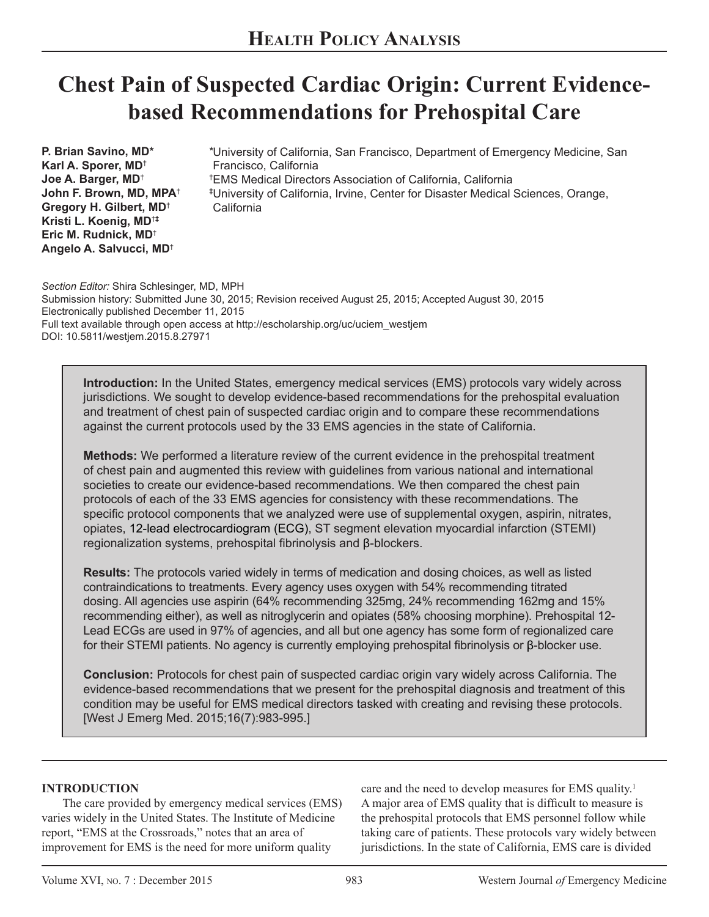## **Chest Pain of Suspected Cardiac Origin: Current Evidencebased Recommendations for Prehospital Care**

**P. Brian Savino, MD\* Karl A. Sporer, MD**† **Joe A. Barger, MD**† **John F. Brown, MD, MPA**† **Gregory H. Gilbert, MD**† **Kristi L. Koenig, MD**†**‡ Eric M. Rudnick, MD**† **Angelo A. Salvucci, MD**†

University of California, San Francisco, Department of Emergency Medicine, San \* Francisco, California EMS Medical Directors Association of California, California † University of California, Irvine, Center for Disaster Medical Sciences, Orange, **‡** California

*Section Editor:* Shira Schlesinger, MD, MPH Submission history: Submitted June 30, 2015; Revision received August 25, 2015; Accepted August 30, 2015 Electronically published December 11, 2015 Full text available through open access at http://escholarship.org/uc/uciem\_westjem DOI: 10.5811/westjem.2015.8.27971

**Introduction:** In the United States, emergency medical services (EMS) protocols vary widely across jurisdictions. We sought to develop evidence-based recommendations for the prehospital evaluation and treatment of chest pain of suspected cardiac origin and to compare these recommendations against the current protocols used by the 33 EMS agencies in the state of California.

**Methods:** We performed a literature review of the current evidence in the prehospital treatment of chest pain and augmented this review with guidelines from various national and international societies to create our evidence-based recommendations. We then compared the chest pain protocols of each of the 33 EMS agencies for consistency with these recommendations. The specific protocol components that we analyzed were use of supplemental oxygen, aspirin, nitrates, opiates, 12-lead electrocardiogram (ECG), ST segment elevation myocardial infarction (STEMI) regionalization systems, prehospital fibrinolysis and β-blockers.

**Results:** The protocols varied widely in terms of medication and dosing choices, as well as listed contraindications to treatments. Every agency uses oxygen with 54% recommending titrated dosing. All agencies use aspirin (64% recommending 325mg, 24% recommending 162mg and 15% recommending either), as well as nitroglycerin and opiates (58% choosing morphine). Prehospital 12- Lead ECGs are used in 97% of agencies, and all but one agency has some form of regionalized care for their STEMI patients. No agency is currently employing prehospital fibrinolysis or β-blocker use.

**Conclusion:** Protocols for chest pain of suspected cardiac origin vary widely across California. The evidence-based recommendations that we present for the prehospital diagnosis and treatment of this condition may be useful for EMS medical directors tasked with creating and revising these protocols. [West J Emerg Med. 2015;16(7):983-995.]

#### **INTRODUCTION**

The care provided by emergency medical services (EMS) varies widely in the United States. The Institute of Medicine report, "EMS at the Crossroads," notes that an area of improvement for EMS is the need for more uniform quality

care and the need to develop measures for EMS quality.<sup>1</sup> A major area of EMS quality that is difficult to measure is the prehospital protocols that EMS personnel follow while taking care of patients. These protocols vary widely between jurisdictions. In the state of California, EMS care is divided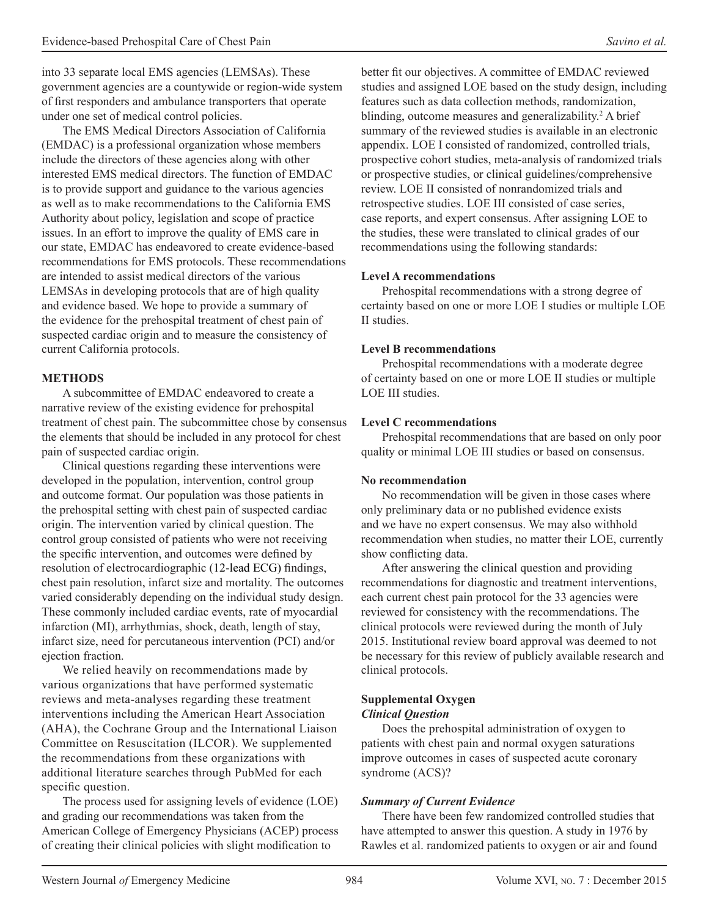into 33 separate local EMS agencies (LEMSAs). These government agencies are a countywide or region-wide system of first responders and ambulance transporters that operate under one set of medical control policies.

The EMS Medical Directors Association of California (EMDAC) is a professional organization whose members include the directors of these agencies along with other interested EMS medical directors. The function of EMDAC is to provide support and guidance to the various agencies as well as to make recommendations to the California EMS Authority about policy, legislation and scope of practice issues. In an effort to improve the quality of EMS care in our state, EMDAC has endeavored to create evidence-based recommendations for EMS protocols. These recommendations are intended to assist medical directors of the various LEMSAs in developing protocols that are of high quality and evidence based. We hope to provide a summary of the evidence for the prehospital treatment of chest pain of suspected cardiac origin and to measure the consistency of current California protocols.

#### **METHODS**

A subcommittee of EMDAC endeavored to create a narrative review of the existing evidence for prehospital treatment of chest pain. The subcommittee chose by consensus the elements that should be included in any protocol for chest pain of suspected cardiac origin.

Clinical questions regarding these interventions were developed in the population, intervention, control group and outcome format. Our population was those patients in the prehospital setting with chest pain of suspected cardiac origin. The intervention varied by clinical question. The control group consisted of patients who were not receiving the specific intervention, and outcomes were defined by resolution of electrocardiographic (12-lead ECG) findings, chest pain resolution, infarct size and mortality. The outcomes varied considerably depending on the individual study design. These commonly included cardiac events, rate of myocardial infarction (MI), arrhythmias, shock, death, length of stay, infarct size, need for percutaneous intervention (PCI) and/or ejection fraction.

We relied heavily on recommendations made by various organizations that have performed systematic reviews and meta-analyses regarding these treatment interventions including the American Heart Association (AHA), the Cochrane Group and the International Liaison Committee on Resuscitation (ILCOR). We supplemented the recommendations from these organizations with additional literature searches through PubMed for each specific question.

The process used for assigning levels of evidence (LOE) and grading our recommendations was taken from the American College of Emergency Physicians (ACEP) process of creating their clinical policies with slight modification to

better fit our objectives. A committee of EMDAC reviewed studies and assigned LOE based on the study design, including features such as data collection methods, randomization, blinding, outcome measures and generalizability.<sup>2</sup> A brief summary of the reviewed studies is available in an electronic appendix. LOE I consisted of randomized, controlled trials, prospective cohort studies, meta-analysis of randomized trials or prospective studies, or clinical guidelines/comprehensive review. LOE II consisted of nonrandomized trials and retrospective studies. LOE III consisted of case series, case reports, and expert consensus. After assigning LOE to the studies, these were translated to clinical grades of our recommendations using the following standards:

#### **Level A recommendations**

Prehospital recommendations with a strong degree of certainty based on one or more LOE I studies or multiple LOE II studies.

#### **Level B recommendations**

Prehospital recommendations with a moderate degree of certainty based on one or more LOE II studies or multiple LOE III studies.

#### **Level C recommendations**

Prehospital recommendations that are based on only poor quality or minimal LOE III studies or based on consensus.

#### **No recommendation**

No recommendation will be given in those cases where only preliminary data or no published evidence exists and we have no expert consensus. We may also withhold recommendation when studies, no matter their LOE, currently show conflicting data.

After answering the clinical question and providing recommendations for diagnostic and treatment interventions, each current chest pain protocol for the 33 agencies were reviewed for consistency with the recommendations. The clinical protocols were reviewed during the month of July 2015. Institutional review board approval was deemed to not be necessary for this review of publicly available research and clinical protocols.

#### **Supplemental Oxygen** *Clinical Question*

Does the prehospital administration of oxygen to patients with chest pain and normal oxygen saturations improve outcomes in cases of suspected acute coronary syndrome (ACS)?

#### *Summary of Current Evidence*

There have been few randomized controlled studies that have attempted to answer this question. A study in 1976 by Rawles et al. randomized patients to oxygen or air and found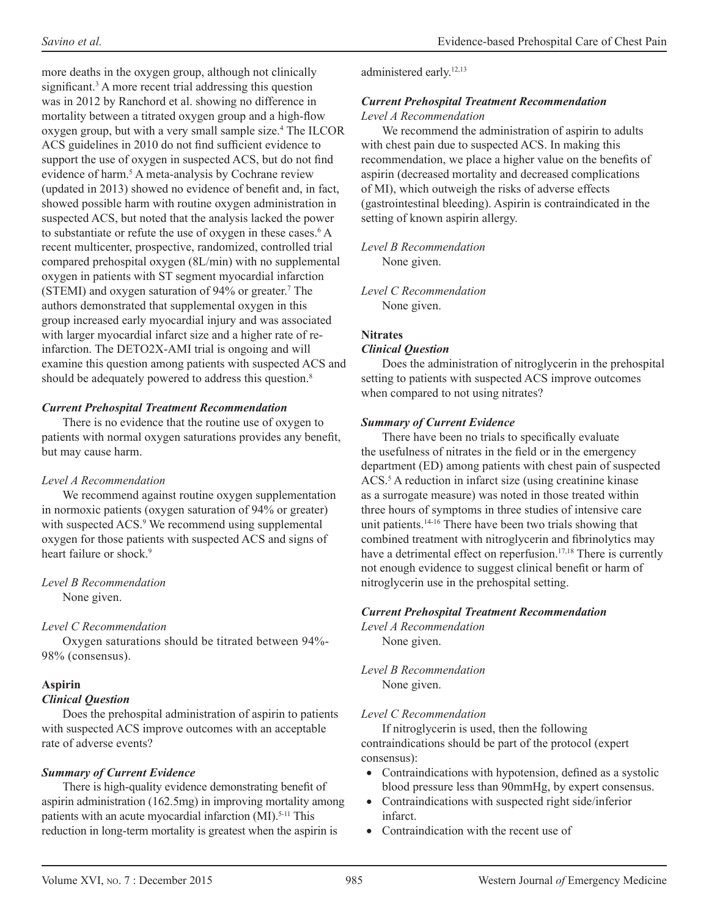more deaths in the oxygen group, although not clinically significant.<sup>3</sup> A more recent trial addressing this question was in 2012 by Ranchord et al. showing no difference in mortality between a titrated oxygen group and a high-flow oxygen group, but with a very small sample size.<sup>4</sup> The ILCOR ACS guidelines in 2010 do not find sufficient evidence to support the use of oxygen in suspected ACS, but do not find evidence of harm.<sup>5</sup> A meta-analysis by Cochrane review (updated in 2013) showed no evidence of benefit and, in fact, showed possible harm with routine oxygen administration in suspected ACS, but noted that the analysis lacked the power to substantiate or refute the use of oxygen in these cases.<sup>6</sup> A recent multicenter, prospective, randomized, controlled trial compared prehospital oxygen (8L/min) with no supplemental oxygen in patients with ST segment myocardial infarction (STEMI) and oxygen saturation of 94% or greater.7 The authors demonstrated that supplemental oxygen in this group increased early myocardial injury and was associated with larger myocardial infarct size and a higher rate of reinfarction. The DETO2X-AMI trial is ongoing and will examine this question among patients with suspected ACS and should be adequately powered to address this question.<sup>8</sup>

#### *Current Prehospital Treatment Recommendation*

There is no evidence that the routine use of oxygen to patients with normal oxygen saturations provides any benefit, but may cause harm.

#### *Level A Recommendation*

We recommend against routine oxygen supplementation in normoxic patients (oxygen saturation of 94% or greater) with suspected ACS.<sup>9</sup> We recommend using supplemental oxygen for those patients with suspected ACS and signs of heart failure or shock<sup>9</sup>

#### *Level B Recommendation* None given.

*Level C Recommendation*

Oxygen saturations should be titrated between 94%- 98% (consensus).

## **Aspirin**

## *Clinical Question*

Does the prehospital administration of aspirin to patients with suspected ACS improve outcomes with an acceptable rate of adverse events?

## *Summary of Current Evidence*

There is high-quality evidence demonstrating benefit of aspirin administration (162.5mg) in improving mortality among patients with an acute myocardial infarction (MI).<sup>5-11</sup> This reduction in long-term mortality is greatest when the aspirin is

administered early.<sup>12,13</sup>

## *Current Prehospital Treatment Recommendation*

## *Level A Recommendation*

We recommend the administration of aspirin to adults with chest pain due to suspected ACS. In making this recommendation, we place a higher value on the benefits of aspirin (decreased mortality and decreased complications of MI), which outweigh the risks of adverse effects (gastrointestinal bleeding). Aspirin is contraindicated in the setting of known aspirin allergy.

#### *Level B Recommendation* None given.

*Level C Recommendation* None given.

## **Nitrates**

## *Clinical Question*

Does the administration of nitroglycerin in the prehospital setting to patients with suspected ACS improve outcomes when compared to not using nitrates?

#### *Summary of Current Evidence*

There have been no trials to specifically evaluate the usefulness of nitrates in the field or in the emergency department (ED) among patients with chest pain of suspected ACS.<sup>5</sup> A reduction in infarct size (using creatinine kinase) as a surrogate measure) was noted in those treated within three hours of symptoms in three studies of intensive care unit patients.14-16 There have been two trials showing that combined treatment with nitroglycerin and fibrinolytics may have a detrimental effect on reperfusion.<sup>17,18</sup> There is currently not enough evidence to suggest clinical benefit or harm of nitroglycerin use in the prehospital setting.

## *Current Prehospital Treatment Recommendation*

*Level A Recommendation* None given.

*Level B Recommendation* None given.

## *Level C Recommendation*

If nitroglycerin is used, then the following contraindications should be part of the protocol (expert consensus):

- Contraindications with hypotension, defined as a systolic blood pressure less than 90mmHg, by expert consensus.
- • Contraindications with suspected right side/inferior infarct.
- Contraindication with the recent use of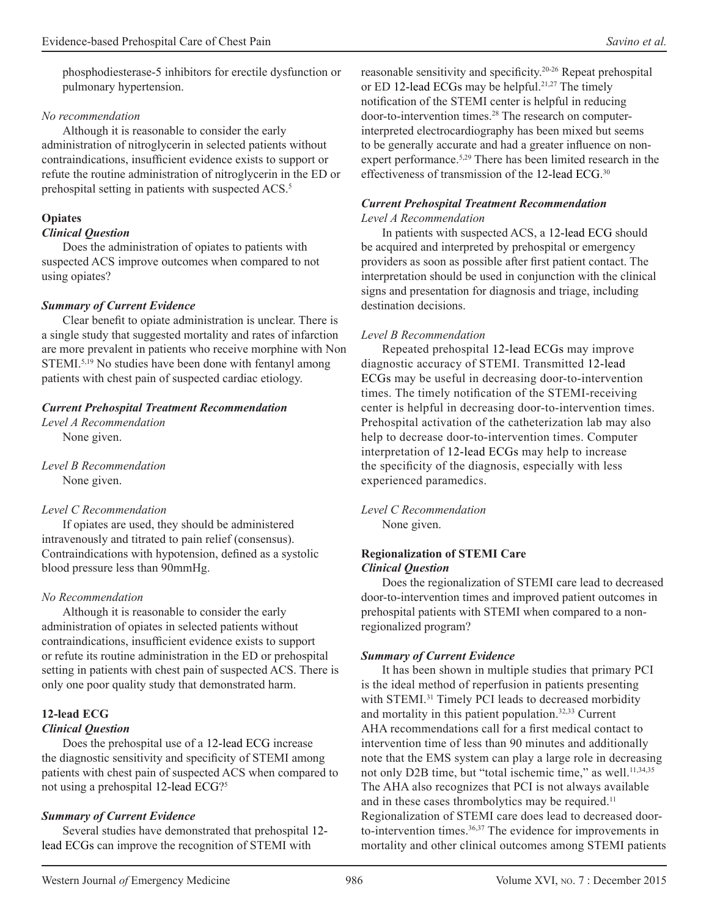phosphodiesterase-5 inhibitors for erectile dysfunction or pulmonary hypertension.

#### *No recommendation*

Although it is reasonable to consider the early administration of nitroglycerin in selected patients without contraindications, insufficient evidence exists to support or refute the routine administration of nitroglycerin in the ED or prehospital setting in patients with suspected ACS.5

#### **Opiates**

#### *Clinical Question*

Does the administration of opiates to patients with suspected ACS improve outcomes when compared to not using opiates?

#### *Summary of Current Evidence*

Clear benefit to opiate administration is unclear. There is a single study that suggested mortality and rates of infarction are more prevalent in patients who receive morphine with Non STEMI.<sup>5,19</sup> No studies have been done with fentanyl among patients with chest pain of suspected cardiac etiology.

#### *Current Prehospital Treatment Recommendation*

*Level A Recommendation* None given.

*Level B Recommendation* None given.

#### *Level C Recommendation*

If opiates are used, they should be administered intravenously and titrated to pain relief (consensus). Contraindications with hypotension, defined as a systolic blood pressure less than 90mmHg.

#### *No Recommendation*

Although it is reasonable to consider the early administration of opiates in selected patients without contraindications, insufficient evidence exists to support or refute its routine administration in the ED or prehospital setting in patients with chest pain of suspected ACS. There is only one poor quality study that demonstrated harm.

#### **12-lead ECG** *Clinical Question*

Does the prehospital use of a 12-lead ECG increase the diagnostic sensitivity and specificity of STEMI among patients with chest pain of suspected ACS when compared to not using a prehospital 12-lead ECG?5

#### *Summary of Current Evidence*

Several studies have demonstrated that prehospital 12 lead ECGs can improve the recognition of STEMI with

reasonable sensitivity and specificity.20-26 Repeat prehospital or ED 12-lead ECGs may be helpful.<sup>21,27</sup> The timely notification of the STEMI center is helpful in reducing door-to-intervention times.<sup>28</sup> The research on computerinterpreted electrocardiography has been mixed but seems to be generally accurate and had a greater influence on nonexpert performance.5,29 There has been limited research in the effectiveness of transmission of the 12-lead ECG.<sup>30</sup>

#### *Current Prehospital Treatment Recommendation Level A Recommendation*

In patients with suspected ACS, a 12-lead ECG should be acquired and interpreted by prehospital or emergency providers as soon as possible after first patient contact. The interpretation should be used in conjunction with the clinical signs and presentation for diagnosis and triage, including destination decisions.

#### *Level B Recommendation*

Repeated prehospital 12-lead ECGs may improve diagnostic accuracy of STEMI. Transmitted 12-lead ECGs may be useful in decreasing door-to-intervention times. The timely notification of the STEMI-receiving center is helpful in decreasing door-to-intervention times. Prehospital activation of the catheterization lab may also help to decrease door-to-intervention times. Computer interpretation of 12-lead ECGs may help to increase the specificity of the diagnosis, especially with less experienced paramedics.

*Level C Recommendation* None given.

#### **Regionalization of STEMI Care** *Clinical Question*

Does the regionalization of STEMI care lead to decreased door-to-intervention times and improved patient outcomes in prehospital patients with STEMI when compared to a nonregionalized program?

#### *Summary of Current Evidence*

It has been shown in multiple studies that primary PCI is the ideal method of reperfusion in patients presenting with STEMI.<sup>31</sup> Timely PCI leads to decreased morbidity and mortality in this patient population.32,33 Current AHA recommendations call for a first medical contact to intervention time of less than 90 minutes and additionally note that the EMS system can play a large role in decreasing not only D2B time, but "total ischemic time," as well.<sup>11,34,35</sup> The AHA also recognizes that PCI is not always available and in these cases thrombolytics may be required.<sup>11</sup> Regionalization of STEMI care does lead to decreased doorto-intervention times.<sup>36,37</sup> The evidence for improvements in mortality and other clinical outcomes among STEMI patients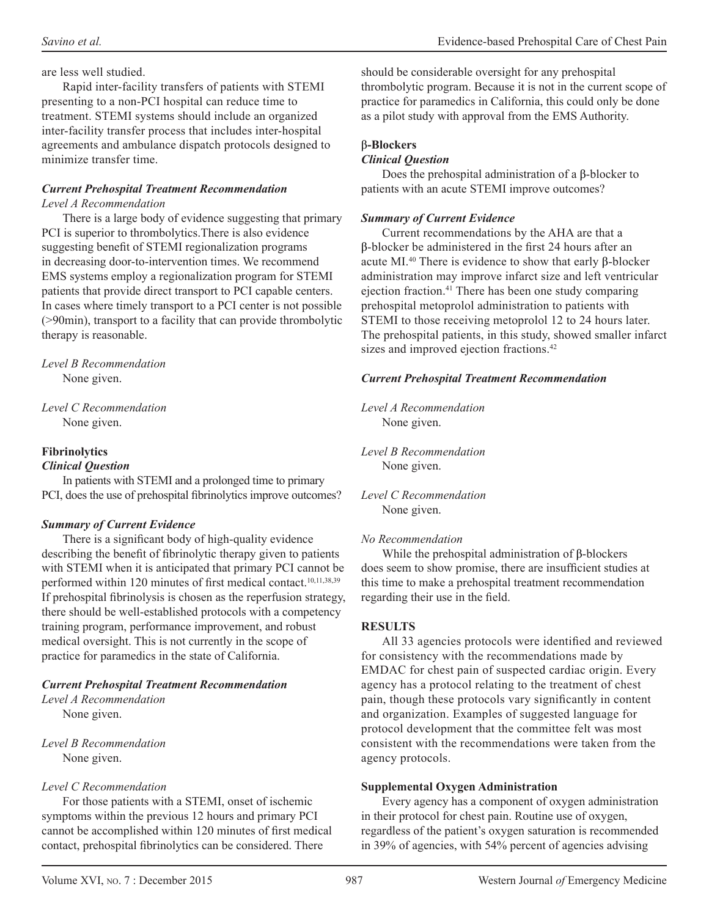are less well studied.

Rapid inter-facility transfers of patients with STEMI presenting to a non-PCI hospital can reduce time to treatment. STEMI systems should include an organized inter-facility transfer process that includes inter-hospital agreements and ambulance dispatch protocols designed to minimize transfer time.

#### *Current Prehospital Treatment Recommendation Level A Recommendation*

There is a large body of evidence suggesting that primary PCI is superior to thrombolytics.There is also evidence suggesting benefit of STEMI regionalization programs in decreasing door-to-intervention times. We recommend EMS systems employ a regionalization program for STEMI patients that provide direct transport to PCI capable centers. In cases where timely transport to a PCI center is not possible (>90min), transport to a facility that can provide thrombolytic therapy is reasonable.

*Level B Recommendation* None given.

*Level C Recommendation* None given.

### **Fibrinolytics**

#### *Clinical Question*

In patients with STEMI and a prolonged time to primary PCI, does the use of prehospital fibrinolytics improve outcomes?

#### *Summary of Current Evidence*

There is a significant body of high-quality evidence describing the benefit of fibrinolytic therapy given to patients with STEMI when it is anticipated that primary PCI cannot be performed within 120 minutes of first medical contact.<sup>10,11,38,39</sup> If prehospital fibrinolysis is chosen as the reperfusion strategy, there should be well-established protocols with a competency training program, performance improvement, and robust medical oversight. This is not currently in the scope of practice for paramedics in the state of California.

#### *Current Prehospital Treatment Recommendation*

*Level A Recommendation*

None given.

*Level B Recommendation* None given.

#### *Level C Recommendation*

For those patients with a STEMI, onset of ischemic symptoms within the previous 12 hours and primary PCI cannot be accomplished within 120 minutes of first medical contact, prehospital fibrinolytics can be considered. There

should be considerable oversight for any prehospital thrombolytic program. Because it is not in the current scope of practice for paramedics in California, this could only be done as a pilot study with approval from the EMS Authority.

#### β**-Blockers**

#### *Clinical Question*

Does the prehospital administration of a β-blocker to patients with an acute STEMI improve outcomes?

#### *Summary of Current Evidence*

Current recommendations by the AHA are that a β-blocker be administered in the first 24 hours after an acute MI.40 There is evidence to show that early β-blocker administration may improve infarct size and left ventricular ejection fraction.41 There has been one study comparing prehospital metoprolol administration to patients with STEMI to those receiving metoprolol 12 to 24 hours later. The prehospital patients, in this study, showed smaller infarct sizes and improved ejection fractions.<sup>42</sup>

#### *Current Prehospital Treatment Recommendation*

*Level A Recommendation* None given.

*Level B Recommendation* None given.

*Level C Recommendation* None given.

#### *No Recommendation*

While the prehospital administration of β-blockers does seem to show promise, there are insufficient studies at this time to make a prehospital treatment recommendation regarding their use in the field.

#### **RESULTS**

All 33 agencies protocols were identified and reviewed for consistency with the recommendations made by EMDAC for chest pain of suspected cardiac origin. Every agency has a protocol relating to the treatment of chest pain, though these protocols vary significantly in content and organization. Examples of suggested language for protocol development that the committee felt was most consistent with the recommendations were taken from the agency protocols.

#### **Supplemental Oxygen Administration**

Every agency has a component of oxygen administration in their protocol for chest pain. Routine use of oxygen, regardless of the patient's oxygen saturation is recommended in 39% of agencies, with 54% percent of agencies advising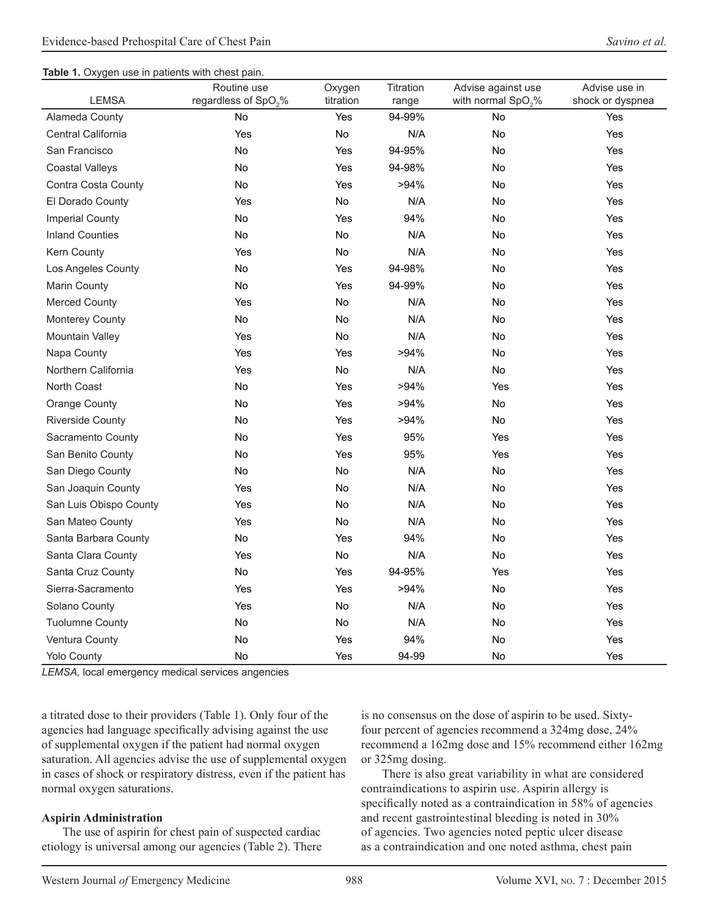#### **Table 1.** Oxygen use in patients with chest pain.

| <b>Table 1:</b> Oxygun doc in patients with chest pain.<br><b>LEMSA</b> | Routine use<br>regardless of SpO <sub>2</sub> % | Oxygen<br>titration | Titration<br>range | Advise against use<br>with normal SpO <sub>2</sub> % | Advise use in<br>shock or dyspnea |
|-------------------------------------------------------------------------|-------------------------------------------------|---------------------|--------------------|------------------------------------------------------|-----------------------------------|
| Alameda County                                                          | No                                              | Yes                 | 94-99%             | No                                                   | Yes                               |
| Central California                                                      | Yes                                             | <b>No</b>           | N/A                | <b>No</b>                                            | <b>Yes</b>                        |
| San Francisco                                                           | No                                              | Yes                 | 94-95%             | No                                                   | Yes                               |
| <b>Coastal Valleys</b>                                                  | No                                              | Yes                 | 94-98%             | No                                                   | Yes                               |
| Contra Costa County                                                     | No                                              | Yes                 | >94%               | No                                                   | Yes                               |
| El Dorado County                                                        | Yes                                             | No                  | N/A                | No                                                   | Yes                               |
| <b>Imperial County</b>                                                  | No                                              | Yes                 | 94%                | No                                                   | Yes                               |
| <b>Inland Counties</b>                                                  | <b>No</b>                                       | No                  | N/A                | No                                                   | Yes                               |
| Kern County                                                             | Yes                                             | No                  | N/A                | No                                                   | Yes                               |
| Los Angeles County                                                      | No                                              | Yes                 | 94-98%             | No                                                   | Yes                               |
| Marin County                                                            | <b>No</b>                                       | Yes                 | 94-99%             | <b>No</b>                                            | <b>Yes</b>                        |
| <b>Merced County</b>                                                    | Yes                                             | No                  | N/A                | No                                                   | Yes                               |
| Monterey County                                                         | No                                              | No                  | N/A                | No                                                   | Yes                               |
| Mountain Valley                                                         | Yes                                             | No                  | N/A                | No                                                   | Yes                               |
| Napa County                                                             | Yes                                             | Yes                 | >94%               | No                                                   | Yes                               |
| Northern California                                                     | Yes                                             | No                  | N/A                | No                                                   | Yes                               |
| North Coast                                                             | No                                              | Yes                 | >94%               | Yes                                                  | <b>Yes</b>                        |
| <b>Orange County</b>                                                    | No                                              | Yes                 | >94%               | No                                                   | Yes                               |
| <b>Riverside County</b>                                                 | No                                              | Yes                 | >94%               | No                                                   | Yes                               |
| Sacramento County                                                       | No                                              | Yes                 | 95%                | Yes                                                  | Yes                               |
| San Benito County                                                       | No                                              | Yes                 | 95%                | Yes                                                  | Yes                               |
| San Diego County                                                        | No                                              | No                  | N/A                | No                                                   | Yes                               |
| San Joaquin County                                                      | Yes                                             | No                  | N/A                | No                                                   | Yes                               |
| San Luis Obispo County                                                  | Yes                                             | No                  | N/A                | No                                                   | Yes                               |
| San Mateo County                                                        | Yes                                             | No                  | N/A                | No                                                   | Yes                               |
| Santa Barbara County                                                    | <b>No</b>                                       | Yes                 | 94%                | <b>No</b>                                            | <b>Yes</b>                        |
| Santa Clara County                                                      | Yes                                             | No                  | N/A                | No                                                   | Yes                               |
| Santa Cruz County                                                       | No                                              | Yes                 | 94-95%             | Yes                                                  | Yes                               |
| Sierra-Sacramento                                                       | Yes                                             | Yes                 | >94%               | No                                                   | Yes                               |
| Solano County                                                           | Yes                                             | No                  | N/A                | No                                                   | Yes                               |
| <b>Tuolumne County</b>                                                  | No                                              | No                  | N/A                | No                                                   | Yes                               |
| Ventura County                                                          | <b>No</b>                                       | Yes                 | 94%                | No                                                   | Yes                               |
| <b>Yolo County</b>                                                      | No                                              | Yes                 | 94-99              | No                                                   | Yes                               |

*LEMSA,* local emergency medical services angencies

a titrated dose to their providers (Table 1). Only four of the agencies had language specifically advising against the use of supplemental oxygen if the patient had normal oxygen saturation. All agencies advise the use of supplemental oxygen in cases of shock or respiratory distress, even if the patient has normal oxygen saturations.

#### **Aspirin Administration**

The use of aspirin for chest pain of suspected cardiac etiology is universal among our agencies (Table 2). There

is no consensus on the dose of aspirin to be used. Sixtyfour percent of agencies recommend a 324mg dose, 24% recommend a 162mg dose and 15% recommend either 162mg or 325mg dosing.

There is also great variability in what are considered contraindications to aspirin use. Aspirin allergy is specifically noted as a contraindication in 58% of agencies and recent gastrointestinal bleeding is noted in 30% of agencies. Two agencies noted peptic ulcer disease as a contraindication and one noted asthma, chest pain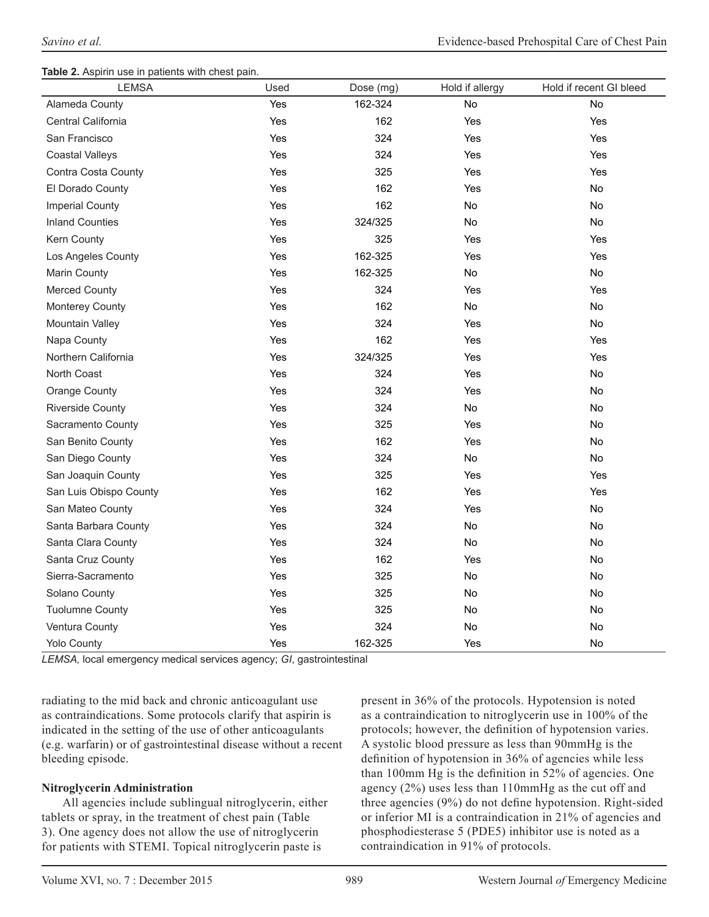**Table 2.** Aspirin use in patients with chest pain.

| <b>LEMSA</b>            | Used | Dose (mg) | Hold if allergy | Hold if recent GI bleed |
|-------------------------|------|-----------|-----------------|-------------------------|
| Alameda County          | Yes  | 162-324   | No              | No                      |
| Central California      | Yes  | 162       | Yes             | Yes                     |
| San Francisco           | Yes  | 324       | Yes             | Yes                     |
| <b>Coastal Valleys</b>  | Yes  | 324       | Yes             | Yes                     |
| Contra Costa County     | Yes  | 325       | Yes             | Yes                     |
| El Dorado County        | Yes  | 162       | Yes             | No                      |
| <b>Imperial County</b>  | Yes  | 162       | No              | No                      |
| <b>Inland Counties</b>  | Yes  | 324/325   | No              | No                      |
| Kern County             | Yes  | 325       | Yes             | Yes                     |
| Los Angeles County      | Yes  | 162-325   | Yes             | Yes                     |
| Marin County            | Yes  | 162-325   | No              | No                      |
| <b>Merced County</b>    | Yes  | 324       | Yes             | Yes                     |
| Monterey County         | Yes  | 162       | <b>No</b>       | No                      |
| Mountain Valley         | Yes  | 324       | Yes             | No                      |
| Napa County             | Yes  | 162       | Yes             | Yes                     |
| Northern California     | Yes  | 324/325   | Yes             | Yes                     |
| North Coast             | Yes  | 324       | Yes             | No                      |
| Orange County           | Yes  | 324       | Yes             | No                      |
| <b>Riverside County</b> | Yes  | 324       | No              | No                      |
| Sacramento County       | Yes  | 325       | Yes             | No                      |
| San Benito County       | Yes  | 162       | Yes             | No                      |
| San Diego County        | Yes  | 324       | No              | No                      |
| San Joaquin County      | Yes  | 325       | Yes             | Yes                     |
| San Luis Obispo County  | Yes  | 162       | Yes             | Yes                     |
| San Mateo County        | Yes  | 324       | Yes             | No                      |
| Santa Barbara County    | Yes  | 324       | No              | No                      |
| Santa Clara County      | Yes  | 324       | No              | No                      |
| Santa Cruz County       | Yes  | 162       | Yes             | No                      |
| Sierra-Sacramento       | Yes  | 325       | No              | No                      |
| Solano County           | Yes  | 325       | No              | No                      |
| <b>Tuolumne County</b>  | Yes  | 325       | No              | No                      |
| Ventura County          | Yes  | 324       | No              | No                      |
| Yolo County             | Yes  | 162-325   | Yes             | No                      |

*LEMSA,* local emergency medical services agency; *GI*, gastrointestinal

radiating to the mid back and chronic anticoagulant use as contraindications. Some protocols clarify that aspirin is indicated in the setting of the use of other anticoagulants (e.g. warfarin) or of gastrointestinal disease without a recent bleeding episode.

#### **Nitroglycerin Administration**

All agencies include sublingual nitroglycerin, either tablets or spray, in the treatment of chest pain (Table 3). One agency does not allow the use of nitroglycerin for patients with STEMI. Topical nitroglycerin paste is

present in 36% of the protocols. Hypotension is noted as a contraindication to nitroglycerin use in 100% of the protocols; however, the definition of hypotension varies. A systolic blood pressure as less than 90mmHg is the definition of hypotension in 36% of agencies while less than 100mm Hg is the definition in 52% of agencies. One agency (2%) uses less than 110mmHg as the cut off and three agencies (9%) do not define hypotension. Right-sided or inferior MI is a contraindication in 21% of agencies and phosphodiesterase 5 (PDE5) inhibitor use is noted as a contraindication in 91% of protocols.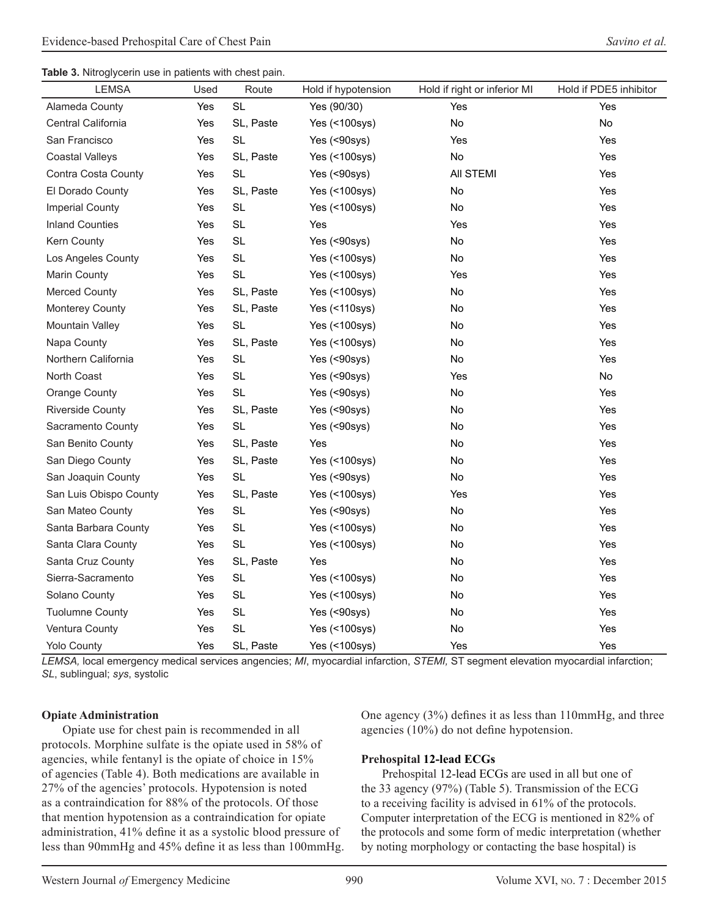#### **Table 3.** Nitroglycerin use in patients with chest pain.

| ັັ<br><b>LEMSA</b>      | Used | Route     | Hold if hypotension | Hold if right or inferior MI | Hold if PDE5 inhibitor |
|-------------------------|------|-----------|---------------------|------------------------------|------------------------|
| Alameda County          | Yes  | <b>SL</b> | Yes (90/30)         | Yes                          | Yes                    |
| Central California      | Yes  | SL, Paste | Yes (<100sys)       | No                           | No                     |
| San Francisco           | Yes  | <b>SL</b> | Yes (<90sys)        | Yes                          | Yes                    |
| <b>Coastal Valleys</b>  | Yes  | SL, Paste | Yes (<100sys)       | No                           | Yes                    |
| Contra Costa County     | Yes  | <b>SL</b> | Yes (<90sys)        | <b>AII STEMI</b>             | Yes                    |
| El Dorado County        | Yes  | SL, Paste | Yes (<100sys)       | No                           | Yes                    |
| <b>Imperial County</b>  | Yes  | <b>SL</b> | Yes (<100sys)       | No                           | Yes                    |
| <b>Inland Counties</b>  | Yes  | <b>SL</b> | Yes                 | Yes                          | Yes                    |
| Kern County             | Yes  | <b>SL</b> | Yes (<90sys)        | No                           | Yes                    |
| Los Angeles County      | Yes  | <b>SL</b> | Yes (<100sys)       | No                           | Yes                    |
| Marin County            | Yes  | <b>SL</b> | Yes (<100sys)       | Yes                          | Yes                    |
| <b>Merced County</b>    | Yes  | SL, Paste | Yes (<100sys)       | No                           | Yes                    |
| Monterey County         | Yes  | SL, Paste | Yes (<110sys)       | No                           | Yes                    |
| Mountain Valley         | Yes  | <b>SL</b> | Yes (<100sys)       | No                           | Yes                    |
| Napa County             | Yes  | SL, Paste | Yes (<100sys)       | No                           | Yes                    |
| Northern California     | Yes  | <b>SL</b> | Yes (<90sys)        | No                           | Yes                    |
| North Coast             | Yes  | <b>SL</b> | Yes (<90sys)        | Yes                          | No                     |
| Orange County           | Yes  | <b>SL</b> | Yes (<90sys)        | No                           | Yes                    |
| <b>Riverside County</b> | Yes  | SL, Paste | Yes (<90sys)        | No                           | Yes                    |
| Sacramento County       | Yes  | <b>SL</b> | Yes (<90sys)        | No                           | Yes                    |
| San Benito County       | Yes  | SL, Paste | Yes                 | No                           |                        |
| San Diego County        | Yes  | SL, Paste | Yes (<100sys)       | No                           |                        |
| San Joaquin County      | Yes  | <b>SL</b> | Yes (<90sys)        | No                           | Yes                    |
| San Luis Obispo County  | Yes  | SL, Paste | Yes (<100sys)       | Yes                          | Yes                    |
| San Mateo County        | Yes  | <b>SL</b> | Yes (<90sys)        | No                           |                        |
| Santa Barbara County    | Yes  | <b>SL</b> | Yes (<100sys)       | No                           |                        |
| Santa Clara County      | Yes  | <b>SL</b> | Yes (<100sys)       | No                           | Yes                    |
| Santa Cruz County       | Yes  | SL, Paste | Yes                 | No                           | Yes                    |
| Sierra-Sacramento       | Yes  | <b>SL</b> | Yes (<100sys)       | No                           | Yes                    |
| Solano County           | Yes  | <b>SL</b> | Yes (<100sys)       | No                           | Yes                    |
| <b>Tuolumne County</b>  | Yes  | <b>SL</b> | Yes (<90sys)        | No                           | Yes                    |
| Ventura County          | Yes  | <b>SL</b> | Yes (<100sys)       | No                           | Yes                    |
| <b>Yolo County</b>      | Yes  | SL, Paste | Yes (<100sys)       | Yes                          | Yes                    |

*LEMSA,* local emergency medical services angencies; *MI*, myocardial infarction, *STEMI,* ST segment elevation myocardial infarction; *SL*, sublingual; *sys*, systolic

#### **Opiate Administration**

Opiate use for chest pain is recommended in all protocols. Morphine sulfate is the opiate used in 58% of agencies, while fentanyl is the opiate of choice in 15% of agencies (Table 4). Both medications are available in 27% of the agencies' protocols. Hypotension is noted as a contraindication for 88% of the protocols. Of those that mention hypotension as a contraindication for opiate administration, 41% define it as a systolic blood pressure of less than 90mmHg and 45% define it as less than 100mmHg. One agency (3%) defines it as less than 110mmHg, and three agencies (10%) do not define hypotension.

#### **Prehospital 12-lead ECGs**

Prehospital 12-lead ECGs are used in all but one of the 33 agency (97%) (Table 5). Transmission of the ECG to a receiving facility is advised in 61% of the protocols. Computer interpretation of the ECG is mentioned in 82% of the protocols and some form of medic interpretation (whether by noting morphology or contacting the base hospital) is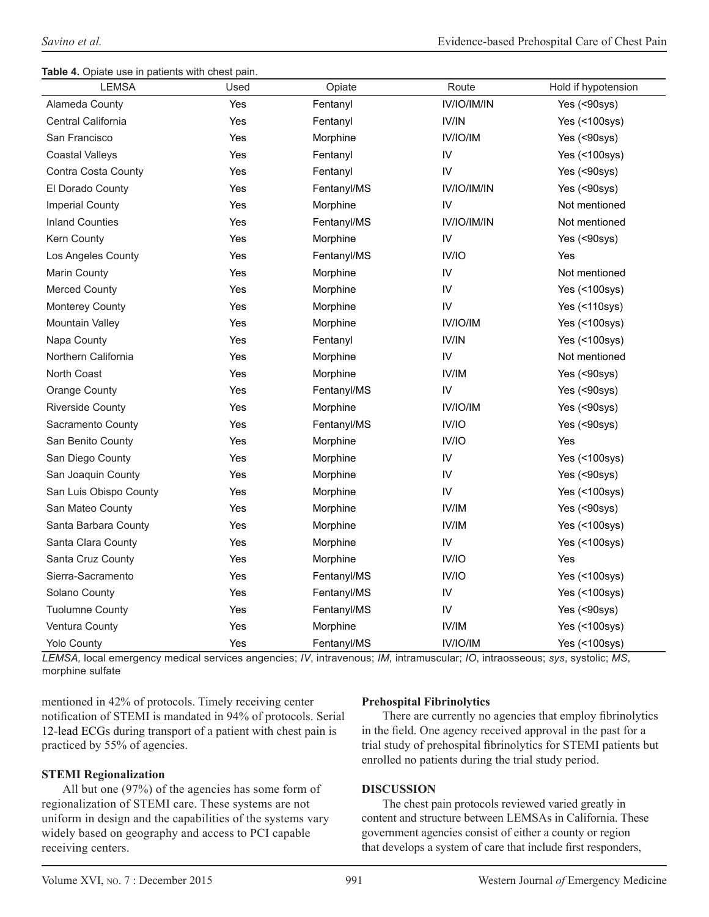**Table 4.** Opiate use in patients with chest pain.

| ANIO TI OPIALO AOO III PALIONLO MILII ONOOL PAINI.<br><b>LEMSA</b> | Used | Opiate      | Route           | Hold if hypotension |
|--------------------------------------------------------------------|------|-------------|-----------------|---------------------|
| Alameda County                                                     | Yes  | Fentanyl    | IV/IO/IM/IN     | Yes (<90sys)        |
| Central California                                                 | Yes  | Fentanyl    | IV/IN           | Yes (<100sys)       |
| San Francisco                                                      | Yes  | Morphine    | IV/IO/IM        | Yes (<90sys)        |
| <b>Coastal Valleys</b>                                             | Yes  | Fentanyl    | IV              | Yes (<100sys)       |
| Contra Costa County                                                | Yes  | Fentanyl    | IV              | Yes (<90sys)        |
| El Dorado County                                                   | Yes  | Fentanyl/MS | IV/IO/IM/IN     | Yes (<90sys)        |
| <b>Imperial County</b>                                             | Yes  | Morphine    | IV              | Not mentioned       |
| <b>Inland Counties</b>                                             | Yes  | Fentanyl/MS | IV/IO/IM/IN     | Not mentioned       |
| Kern County                                                        | Yes  | Morphine    | IV              | Yes (<90sys)        |
| Los Angeles County                                                 | Yes  | Fentanyl/MS | IV/IO           | Yes                 |
| Marin County                                                       | Yes  | Morphine    | IV              | Not mentioned       |
| <b>Merced County</b>                                               | Yes  | Morphine    | IV              | Yes (<100sys)       |
| Monterey County                                                    | Yes  | Morphine    | IV              | Yes (<110sys)       |
| Mountain Valley                                                    | Yes  | Morphine    | IV/IO/IM        | Yes (<100sys)       |
| Napa County                                                        | Yes  | Fentanyl    | IV/IN           | Yes (<100sys)       |
| Northern California                                                | Yes  | Morphine    | IV              | Not mentioned       |
| North Coast                                                        | Yes  | Morphine    | IV/IM           | Yes (<90sys)        |
| <b>Orange County</b>                                               | Yes  | Fentanyl/MS | IV              | Yes (<90sys)        |
| <b>Riverside County</b>                                            | Yes  | Morphine    | <b>IV/IO/IM</b> | Yes (<90sys)        |
| Sacramento County                                                  | Yes  | Fentanyl/MS | IV/IO           | Yes (<90sys)        |
| San Benito County                                                  | Yes  | Morphine    | IV/IO           | Yes                 |
| San Diego County                                                   | Yes  | Morphine    | IV              | Yes (<100sys)       |
| San Joaquin County                                                 | Yes  | Morphine    | IV              | Yes (<90sys)        |
| San Luis Obispo County                                             | Yes  | Morphine    | IV              | Yes (<100sys)       |
| San Mateo County                                                   | Yes  | Morphine    | IV/IM           | Yes (<90sys)        |
| Santa Barbara County                                               | Yes  | Morphine    | IV/IM           | Yes (<100sys)       |
| Santa Clara County                                                 | Yes  | Morphine    | IV              | Yes (<100sys)       |
| Santa Cruz County                                                  | Yes  | Morphine    | IV/IO           | Yes                 |
| Sierra-Sacramento                                                  | Yes  | Fentanyl/MS | IV/IO           | Yes (<100sys)       |
| Solano County                                                      | Yes  | Fentanyl/MS | IV              | Yes (<100sys)       |
| <b>Tuolumne County</b>                                             | Yes  | Fentanyl/MS | IV              | Yes (<90sys)        |
| Ventura County                                                     | Yes  | Morphine    | IV/IM           | Yes (<100sys)       |
| <b>Yolo County</b>                                                 | Yes  | Fentanyl/MS | IV/IO/IM        | Yes (<100sys)       |

*LEMSA,* local emergency medical services angencies; *IV*, intravenous; *IM*, intramuscular; *IO*, intraosseous; *sys*, systolic; *MS*, morphine sulfate

mentioned in 42% of protocols. Timely receiving center notification of STEMI is mandated in 94% of protocols. Serial 12-lead ECGs during transport of a patient with chest pain is practiced by 55% of agencies.

#### **STEMI Regionalization**

All but one (97%) of the agencies has some form of regionalization of STEMI care. These systems are not uniform in design and the capabilities of the systems vary widely based on geography and access to PCI capable receiving centers.

#### **Prehospital Fibrinolytics**

There are currently no agencies that employ fibrinolytics in the field. One agency received approval in the past for a trial study of prehospital fibrinolytics for STEMI patients but enrolled no patients during the trial study period.

#### **DISCUSSION**

The chest pain protocols reviewed varied greatly in content and structure between LEMSAs in California. These government agencies consist of either a county or region that develops a system of care that include first responders,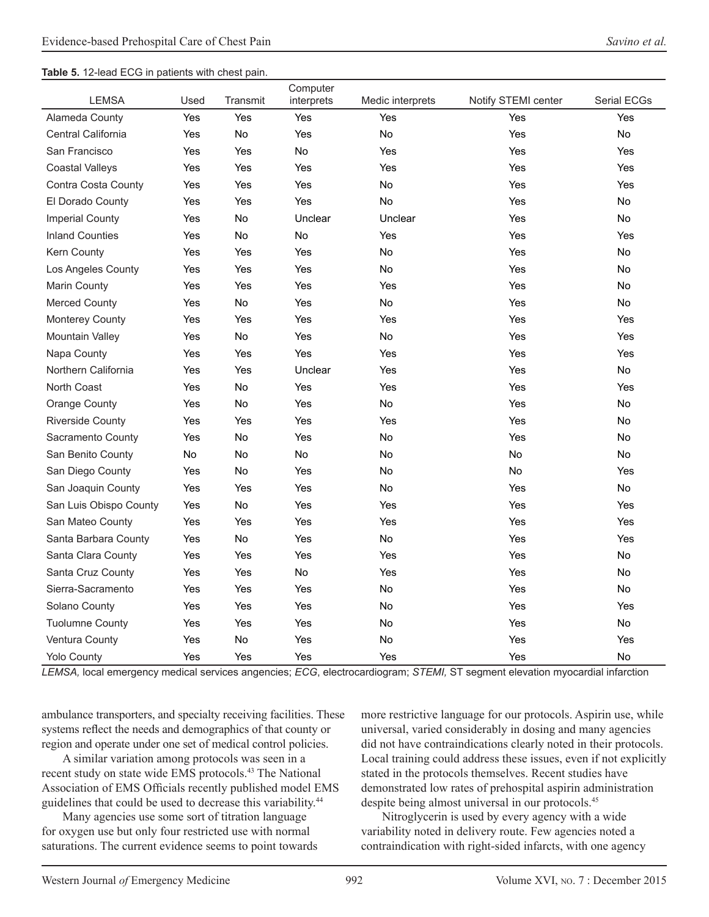#### **Table 5.** 12-lead ECG in patients with chest pain.

| <b>LEMSA</b>            | Used      | Transmit  | Computer<br>interprets | Medic interprets | Notify STEMI center | Serial ECGs |
|-------------------------|-----------|-----------|------------------------|------------------|---------------------|-------------|
| Alameda County          | Yes       | Yes       | Yes                    | Yes              | Yes                 | Yes         |
| Central California      | Yes       | <b>No</b> | Yes                    | No.              | Yes                 | No          |
| San Francisco           | Yes       | Yes       | No                     | Yes              | Yes                 | Yes         |
| <b>Coastal Valleys</b>  | Yes       | Yes       | Yes                    | Yes              | Yes                 | Yes         |
| Contra Costa County     | Yes       | Yes       | Yes                    | No               | Yes                 | Yes         |
| El Dorado County        | Yes       | Yes       | Yes                    | No               | Yes                 | No          |
| <b>Imperial County</b>  | Yes       | <b>No</b> | Unclear                | Unclear          | Yes                 | <b>No</b>   |
| <b>Inland Counties</b>  | Yes       | <b>No</b> | <b>No</b>              | Yes              | Yes                 | Yes         |
| Kern County             | Yes       | Yes       | Yes                    | <b>No</b>        | Yes                 | No          |
| Los Angeles County      | Yes       | Yes       | Yes                    | No               | Yes                 | No          |
| Marin County            | Yes       | Yes       | Yes                    | Yes              | Yes                 | No          |
| <b>Merced County</b>    | Yes       | <b>No</b> | Yes                    | No.              | Yes                 | <b>No</b>   |
| Monterey County         | Yes       | Yes       | Yes                    | Yes              | Yes                 | Yes         |
| Mountain Valley         | Yes       | <b>No</b> | Yes                    | <b>No</b>        | Yes                 | Yes         |
| Napa County             | Yes       | Yes       | Yes                    | Yes              | Yes                 | Yes         |
| Northern California     | Yes       | Yes       | Unclear                | Yes              | Yes                 | No          |
| North Coast             | Yes       | <b>No</b> | Yes                    | Yes              | Yes                 | Yes         |
| Orange County           | Yes       | <b>No</b> | Yes                    | No               | Yes                 | <b>No</b>   |
| <b>Riverside County</b> | Yes       | Yes       | Yes                    | Yes              | Yes                 | No          |
| Sacramento County       | Yes       | No        | Yes                    | No               | Yes                 | No          |
| San Benito County       | <b>No</b> | <b>No</b> | <b>No</b>              | No               | No                  | <b>No</b>   |
| San Diego County        | Yes       | No        | Yes                    | <b>No</b>        | No                  | Yes         |
| San Joaquin County      | Yes       | Yes       | Yes                    | No               | Yes                 | <b>No</b>   |
| San Luis Obispo County  | Yes       | No        | Yes                    | Yes              | Yes                 | Yes         |
| San Mateo County        | Yes       | Yes       | Yes                    | Yes              | Yes                 | Yes         |
| Santa Barbara County    | Yes       | <b>No</b> | Yes                    | No               | Yes                 | Yes         |
| Santa Clara County      | Yes       | Yes       | Yes                    | Yes              | Yes                 | <b>No</b>   |
| Santa Cruz County       | Yes       | Yes       | No                     | Yes              | Yes                 | <b>No</b>   |
| Sierra-Sacramento       | Yes       | Yes       | Yes                    | <b>No</b>        | Yes                 | No          |
| Solano County           | Yes       | Yes       | Yes                    | No               | Yes                 | Yes         |
| <b>Tuolumne County</b>  | Yes       | Yes       | Yes                    | No               | Yes                 | No          |
| Ventura County          | Yes       | No        | Yes                    | No               | Yes                 | Yes         |
| <b>Yolo County</b>      | Yes       | Yes       | Yes                    | Yes              | Yes                 | <b>No</b>   |

*LEMSA,* local emergency medical services angencies; *ECG*, electrocardiogram; *STEMI,* ST segment elevation myocardial infarction

ambulance transporters, and specialty receiving facilities. These systems reflect the needs and demographics of that county or region and operate under one set of medical control policies.

A similar variation among protocols was seen in a recent study on state wide EMS protocols.43 The National Association of EMS Officials recently published model EMS guidelines that could be used to decrease this variability.44

Many agencies use some sort of titration language for oxygen use but only four restricted use with normal saturations. The current evidence seems to point towards more restrictive language for our protocols. Aspirin use, while universal, varied considerably in dosing and many agencies did not have contraindications clearly noted in their protocols. Local training could address these issues, even if not explicitly stated in the protocols themselves. Recent studies have demonstrated low rates of prehospital aspirin administration despite being almost universal in our protocols.<sup>45</sup>

Nitroglycerin is used by every agency with a wide variability noted in delivery route. Few agencies noted a contraindication with right-sided infarcts, with one agency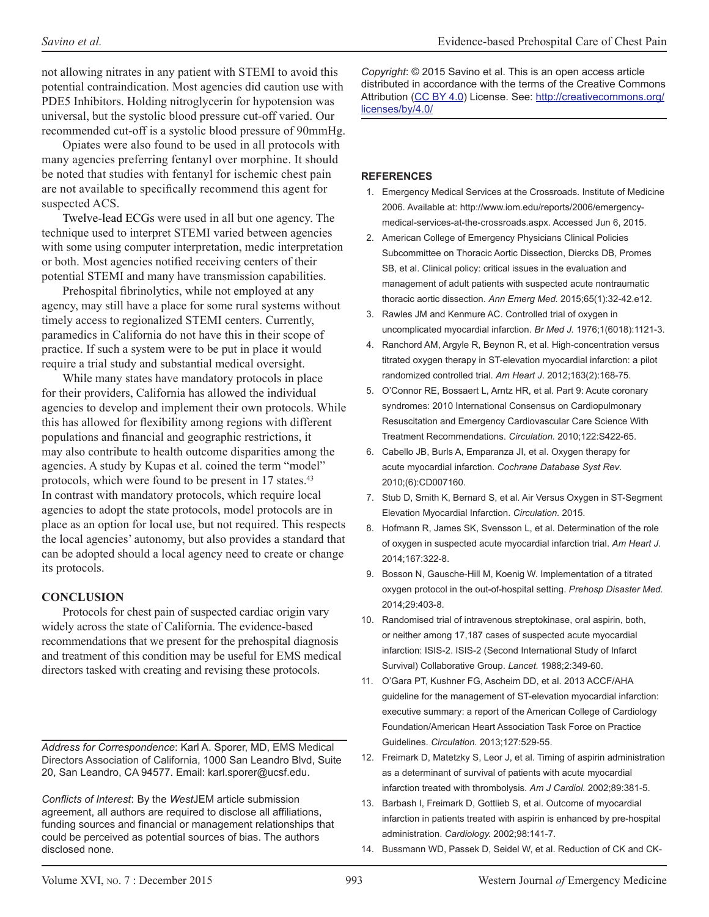not allowing nitrates in any patient with STEMI to avoid this potential contraindication. Most agencies did caution use with PDE5 Inhibitors. Holding nitroglycerin for hypotension was universal, but the systolic blood pressure cut-off varied. Our recommended cut-off is a systolic blood pressure of 90mmHg.

Opiates were also found to be used in all protocols with many agencies preferring fentanyl over morphine. It should be noted that studies with fentanyl for ischemic chest pain are not available to specifically recommend this agent for suspected ACS.

Twelve-lead ECGs were used in all but one agency. The technique used to interpret STEMI varied between agencies with some using computer interpretation, medic interpretation or both. Most agencies notified receiving centers of their potential STEMI and many have transmission capabilities.

Prehospital fibrinolytics, while not employed at any agency, may still have a place for some rural systems without timely access to regionalized STEMI centers. Currently, paramedics in California do not have this in their scope of practice. If such a system were to be put in place it would require a trial study and substantial medical oversight.

While many states have mandatory protocols in place for their providers, California has allowed the individual agencies to develop and implement their own protocols. While this has allowed for flexibility among regions with different populations and financial and geographic restrictions, it may also contribute to health outcome disparities among the agencies. A study by Kupas et al. coined the term "model" protocols, which were found to be present in 17 states.<sup>43</sup> In contrast with mandatory protocols, which require local agencies to adopt the state protocols, model protocols are in place as an option for local use, but not required. This respects the local agencies' autonomy, but also provides a standard that can be adopted should a local agency need to create or change its protocols.

#### **CONCLUSION**

Protocols for chest pain of suspected cardiac origin vary widely across the state of California. The evidence-based recommendations that we present for the prehospital diagnosis and treatment of this condition may be useful for EMS medical directors tasked with creating and revising these protocols.

*Address for Correspondence*: Karl A. Sporer, MD, EMS Medical Directors Association of California, 1000 San Leandro Blvd, Suite 20, San Leandro, CA 94577. Email: karl.sporer@ucsf.edu.

*Conflicts of Interest*: By the *West*JEM article submission agreement, all authors are required to disclose all affiliations, funding sources and financial or management relationships that could be perceived as potential sources of bias. The authors disclosed none.

*Copyright*: © 2015 Savino et al. This is an open access article distributed in accordance with the terms of the Creative Commons Attribution [\(CC BY 4.0](http://creativecommons.org/licenses/by/4.0/)) License. See: [http://creativecommons.org/](http://creativecommons.org/licenses/by/4.0/) [licenses/by/4.0/](http://creativecommons.org/licenses/by/4.0/)

#### **REFERENCES**

- 1. Emergency Medical Services at the Crossroads. Institute of Medicine 2006. Available at: http://www.iom.edu/reports/2006/emergencymedical-services-at-the-crossroads.aspx. Accessed Jun 6, 2015.
- 2. American College of Emergency Physicians Clinical Policies Subcommittee on Thoracic Aortic Dissection, Diercks DB, Promes SB, et al. Clinical policy: critical issues in the evaluation and management of adult patients with suspected acute nontraumatic thoracic aortic dissection. *Ann Emerg Med.* 2015;65(1):32-42.e12.
- 3. Rawles JM and Kenmure AC. Controlled trial of oxygen in uncomplicated myocardial infarction. *Br Med J.* 1976;1(6018):1121-3.
- 4. Ranchord AM, Argyle R, Beynon R, et al. High-concentration versus titrated oxygen therapy in ST-elevation myocardial infarction: a pilot randomized controlled trial. *Am Heart J*. 2012;163(2):168-75.
- 5. O'Connor RE, Bossaert L, Arntz HR, et al. Part 9: Acute coronary syndromes: 2010 International Consensus on Cardiopulmonary Resuscitation and Emergency Cardiovascular Care Science With Treatment Recommendations. *Circulation.* 2010;122:S422-65.
- 6. Cabello JB, Burls A, Emparanza JI, et al. Oxygen therapy for acute myocardial infarction. *Cochrane Database Syst Rev*. 2010;(6):CD007160.
- 7. Stub D, Smith K, Bernard S, et al. Air Versus Oxygen in ST-Segment Elevation Myocardial Infarction. *Circulation.* 2015.
- 8. Hofmann R, James SK, Svensson L, et al. Determination of the role of oxygen in suspected acute myocardial infarction trial. *Am Heart J.* 2014;167:322-8.
- 9. Bosson N, Gausche-Hill M, Koenig W. Implementation of a titrated oxygen protocol in the out-of-hospital setting. *Prehosp Disaster Med.* 2014;29:403-8.
- 10. Randomised trial of intravenous streptokinase, oral aspirin, both, or neither among 17,187 cases of suspected acute myocardial infarction: ISIS-2. ISIS-2 (Second International Study of Infarct Survival) Collaborative Group. *Lancet.* 1988;2:349-60.
- 11. O'Gara PT, Kushner FG, Ascheim DD, et al. 2013 ACCF/AHA guideline for the management of ST-elevation myocardial infarction: executive summary: a report of the American College of Cardiology Foundation/American Heart Association Task Force on Practice Guidelines. *Circulation.* 2013;127:529-55.
- 12. Freimark D, Matetzky S, Leor J, et al. Timing of aspirin administration as a determinant of survival of patients with acute myocardial infarction treated with thrombolysis. *Am J Cardiol.* 2002;89:381-5.
- 13. Barbash I, Freimark D, Gottlieb S, et al. Outcome of myocardial infarction in patients treated with aspirin is enhanced by pre-hospital administration. *Cardiology.* 2002;98:141-7.
- 14. Bussmann WD, Passek D, Seidel W, et al. Reduction of CK and CK-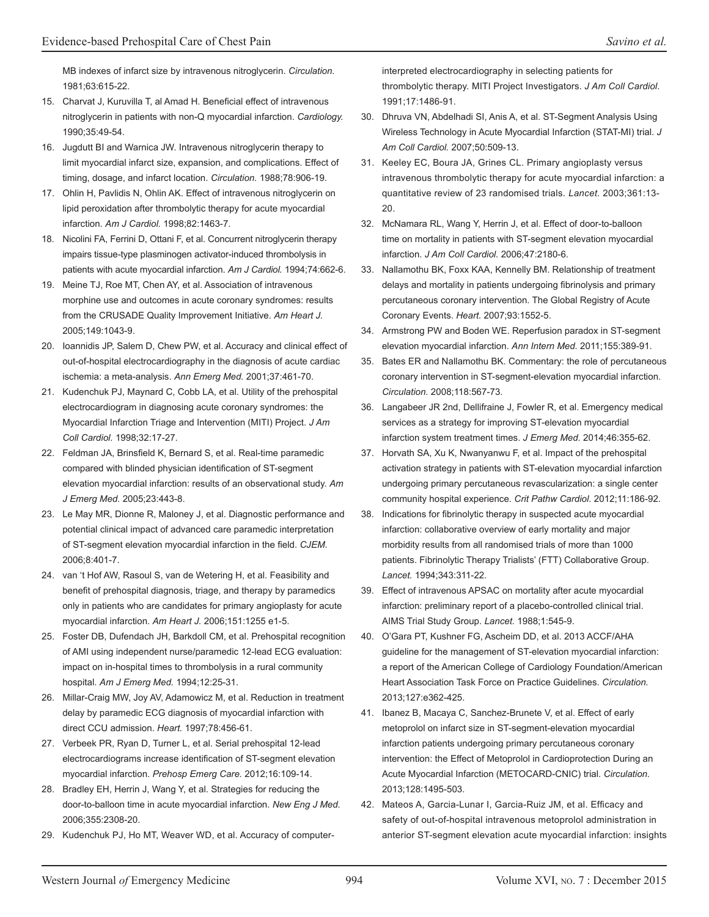MB indexes of infarct size by intravenous nitroglycerin. *Circulation.* 1981;63:615-22.

- 15. Charvat J, Kuruvilla T, al Amad H. Beneficial effect of intravenous nitroglycerin in patients with non-Q myocardial infarction. *Cardiology.* 1990;35:49-54.
- 16. Jugdutt BI and Warnica JW. Intravenous nitroglycerin therapy to limit myocardial infarct size, expansion, and complications. Effect of timing, dosage, and infarct location. *Circulation.* 1988;78:906-19.
- 17. Ohlin H, Pavlidis N, Ohlin AK. Effect of intravenous nitroglycerin on lipid peroxidation after thrombolytic therapy for acute myocardial infarction. *Am J Cardiol.* 1998;82:1463-7.
- 18. Nicolini FA, Ferrini D, Ottani F, et al. Concurrent nitroglycerin therapy impairs tissue-type plasminogen activator-induced thrombolysis in patients with acute myocardial infarction. *Am J Cardiol.* 1994;74:662-6.
- 19. Meine TJ, Roe MT, Chen AY, et al. Association of intravenous morphine use and outcomes in acute coronary syndromes: results from the CRUSADE Quality Improvement Initiative. *Am Heart J.* 2005;149:1043-9.
- 20. Ioannidis JP, Salem D, Chew PW, et al. Accuracy and clinical effect of out-of-hospital electrocardiography in the diagnosis of acute cardiac ischemia: a meta-analysis. *Ann Emerg Med.* 2001;37:461-70.
- 21. Kudenchuk PJ, Maynard C, Cobb LA, et al. Utility of the prehospital electrocardiogram in diagnosing acute coronary syndromes: the Myocardial Infarction Triage and Intervention (MITI) Project. *J Am Coll Cardiol.* 1998;32:17-27.
- 22. Feldman JA, Brinsfield K, Bernard S, et al. Real-time paramedic compared with blinded physician identification of ST-segment elevation myocardial infarction: results of an observational study. *Am J Emerg Med.* 2005;23:443-8.
- 23. Le May MR, Dionne R, Maloney J, et al. Diagnostic performance and potential clinical impact of advanced care paramedic interpretation of ST-segment elevation myocardial infarction in the field. *CJEM.* 2006;8:401-7.
- 24. van 't Hof AW, Rasoul S, van de Wetering H, et al. Feasibility and benefit of prehospital diagnosis, triage, and therapy by paramedics only in patients who are candidates for primary angioplasty for acute myocardial infarction. *Am Heart J.* 2006;151:1255 e1-5.
- 25. Foster DB, Dufendach JH, Barkdoll CM, et al. Prehospital recognition of AMI using independent nurse/paramedic 12-lead ECG evaluation: impact on in-hospital times to thrombolysis in a rural community hospital. *Am J Emerg Med.* 1994;12:25-31.
- 26. Millar-Craig MW, Joy AV, Adamowicz M, et al. Reduction in treatment delay by paramedic ECG diagnosis of myocardial infarction with direct CCU admission. *Heart.* 1997;78:456-61.
- 27. Verbeek PR, Ryan D, Turner L, et al. Serial prehospital 12-lead electrocardiograms increase identification of ST-segment elevation myocardial infarction. *Prehosp Emerg Care.* 2012;16:109-14.
- 28. Bradley EH, Herrin J, Wang Y, et al. Strategies for reducing the door-to-balloon time in acute myocardial infarction. *New Eng J Med.* 2006;355:2308-20.
- 29. Kudenchuk PJ, Ho MT, Weaver WD, et al. Accuracy of computer-

interpreted electrocardiography in selecting patients for thrombolytic therapy. MITI Project Investigators. *J Am Coll Cardiol.* 1991;17:1486-91.

- 30. Dhruva VN, Abdelhadi SI, Anis A, et al. ST-Segment Analysis Using Wireless Technology in Acute Myocardial Infarction (STAT-MI) trial. *J Am Coll Cardiol.* 2007;50:509-13.
- 31. Keeley EC, Boura JA, Grines CL. Primary angioplasty versus intravenous thrombolytic therapy for acute myocardial infarction: a quantitative review of 23 randomised trials. *Lancet.* 2003;361:13- 20.
- 32. McNamara RL, Wang Y, Herrin J, et al. Effect of door-to-balloon time on mortality in patients with ST-segment elevation myocardial infarction. *J Am Coll Cardiol.* 2006;47:2180-6.
- 33. Nallamothu BK, Foxx KAA, Kennelly BM. Relationship of treatment delays and mortality in patients undergoing fibrinolysis and primary percutaneous coronary intervention. The Global Registry of Acute Coronary Events. *Heart.* 2007;93:1552-5.
- 34. Armstrong PW and Boden WE. Reperfusion paradox in ST-segment elevation myocardial infarction. *Ann Intern Med.* 2011;155:389-91.
- 35. Bates ER and Nallamothu BK. Commentary: the role of percutaneous coronary intervention in ST-segment-elevation myocardial infarction. *Circulation.* 2008;118:567-73.
- 36. Langabeer JR 2nd, Dellifraine J, Fowler R, et al. Emergency medical services as a strategy for improving ST-elevation myocardial infarction system treatment times. *J Emerg Med.* 2014;46:355-62.
- 37. Horvath SA, Xu K, Nwanyanwu F, et al. Impact of the prehospital activation strategy in patients with ST-elevation myocardial infarction undergoing primary percutaneous revascularization: a single center community hospital experience. *Crit Pathw Cardiol.* 2012;11:186-92.
- 38. Indications for fibrinolytic therapy in suspected acute myocardial infarction: collaborative overview of early mortality and major morbidity results from all randomised trials of more than 1000 patients. Fibrinolytic Therapy Trialists' (FTT) Collaborative Group. *Lancet.* 1994;343:311-22.
- 39. Effect of intravenous APSAC on mortality after acute myocardial infarction: preliminary report of a placebo-controlled clinical trial. AIMS Trial Study Group. *Lancet.* 1988;1:545-9.
- 40. O'Gara PT, Kushner FG, Ascheim DD, et al. 2013 ACCF/AHA guideline for the management of ST-elevation myocardial infarction: a report of the American College of Cardiology Foundation/American Heart Association Task Force on Practice Guidelines. *Circulation.* 2013;127:e362-425.
- 41. Ibanez B, Macaya C, Sanchez-Brunete V, et al. Effect of early metoprolol on infarct size in ST-segment-elevation myocardial infarction patients undergoing primary percutaneous coronary intervention: the Effect of Metoprolol in Cardioprotection During an Acute Myocardial Infarction (METOCARD-CNIC) trial. *Circulation.* 2013;128:1495-503.
- 42. Mateos A, Garcia-Lunar I, Garcia-Ruiz JM, et al. Efficacy and safety of out-of-hospital intravenous metoprolol administration in anterior ST-segment elevation acute myocardial infarction: insights